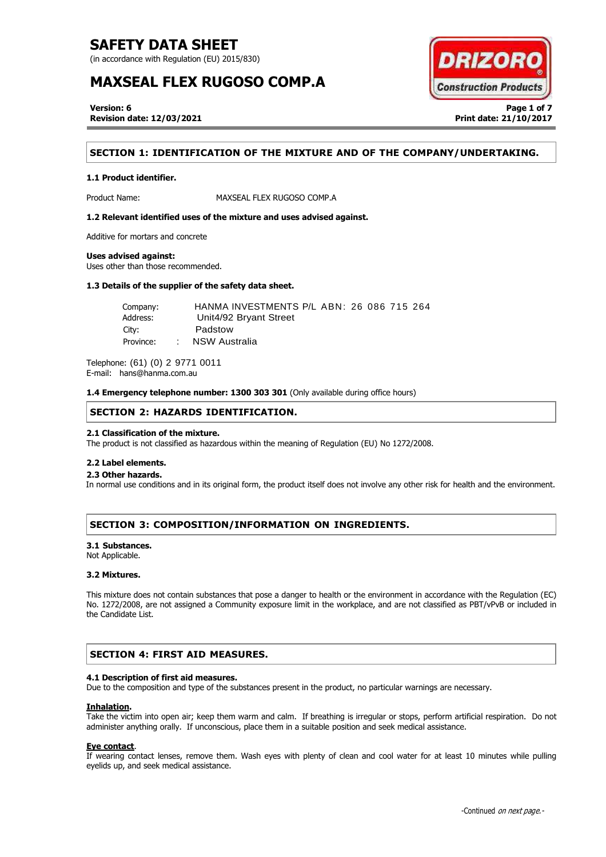(in accordance with Regulation (EU) 2015/830)

# **MAXSEAL FLEX RUGOSO COMP.A**



**Version: 6 Page 1 of 7 Revision date: 12/03/2021 Print date: 21/10/2017**

# **SECTION 1: IDENTIFICATION OF THE MIXTURE AND OF THE COMPANY/UNDERTAKING.**

## **1.1 Product identifier.**

Product Name: MAXSEAL FLEX RUGOSO COMP.A

**1.2 Relevant identified uses of the mixture and uses advised against.**

Additive for mortars and concrete

## **Uses advised against:**

Uses other than those recommended.

## **1.3 Details of the supplier of the safety data sheet.**

Company: HANMA INVESTMENTS P/L ABN: 26 086 715 264 Address: Unit4/92 Bryant Street City: Padstow Province: : NSW Australia

Telephone: (61) (0) 2 9771 0011 E-mail: hans@hanma.com.au

**1.4 Emergency telephone number: 1300 303 301** (Only available during office hours)

## **SECTION 2: HAZARDS IDENTIFICATION.**

## **2.1 Classification of the mixture.**

The product is not classified as hazardous within the meaning of Regulation (EU) No 1272/2008.

### **2.2 Label elements.**

## . . **2.3 Other hazards.**

In normal use conditions and in its original form, the product itself does not involve any other risk for health and the environment.

# **SECTION 3: COMPOSITION/INFORMATION ON INGREDIENTS.**

### **3.1 Substances.**

Not Applicable.

### **3.2 Mixtures.**

This mixture does not contain substances that pose a danger to health or the environment in accordance with the Regulation (EC) No. 1272/2008, are not assigned a Community exposure limit in the workplace, and are not classified as PBT/vPvB or included in the Candidate List.

# **SECTION 4: FIRST AID MEASURES.**

## **4.1 Description of first aid measures.**

Due to the composition and type of the substances present in the product, no particular warnings are necessary.

### **Inhalation.**

Take the victim into open air; keep them warm and calm. If breathing is irregular or stops, perform artificial respiration. Do not administer anything orally. If unconscious, place them in a suitable position and seek medical assistance.

### **Eye contact**.

If wearing contact lenses, remove them. Wash eyes with plenty of clean and cool water for at least 10 minutes while pulling eyelids up, and seek medical assistance.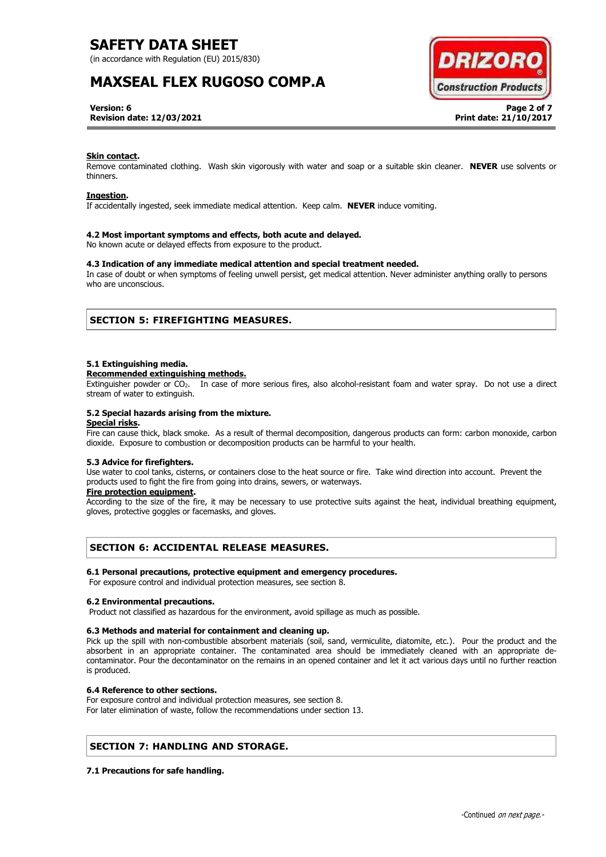(in accordance with Regulation (EU) 2015/830)

# **MAXSEAL FLEX RUGOSO COMP.A**



**Version: 6 Page 2 of 7 Revision date: 12/03/2021 Print date: 21/10/2017**

### **Skin contact.**

Remove contaminated clothing. Wash skin vigorously with water and soap or a suitable skin cleaner. **NEVER** use solvents or thinners.

### **Ingestion.**

If accidentally ingested, seek immediate medical attention. Keep calm. **NEVER** induce vomiting.

### **4.2 Most important symptoms and effects, both acute and delayed.**

No known acute or delayed effects from exposure to the product.

## **4.3 Indication of any immediate medical attention and special treatment needed.**

In case of doubt or when symptoms of feeling unwell persist, get medical attention. Never administer anything orally to persons who are unconscious.

## **SECTION 5: FIREFIGHTING MEASURES.**

### **5.1 Extinguishing media.**

#### **Recommended extinguishing methods.**

Extinguisher powder or CO2. In case of more serious fires, also alcohol-resistant foam and water spray. Do not use a direct stream of water to extinguish.

### **5.2 Special hazards arising from the mixture.**

## **Special risks.**

Fire can cause thick, black smoke. As a result of thermal decomposition, dangerous products can form: carbon monoxide, carbon dioxide. Exposure to combustion or decomposition products can be harmful to your health.

## **5.3 Advice for firefighters.**

Use water to cool tanks, cisterns, or containers close to the heat source or fire. Take wind direction into account. Prevent the products used to fight the fire from going into drains, sewers, or waterways.

## **Fire protection equipment.**

According to the size of the fire, it may be necessary to use protective suits against the heat, individual breathing equipment, gloves, protective goggles or facemasks, and gloves.

# **SECTION 6: ACCIDENTAL RELEASE MEASURES.**

### **6.1 Personal precautions, protective equipment and emergency procedures.**

For exposure control and individual protection measures, see section 8.

### **6.2 Environmental precautions.**

Product not classified as hazardous for the environment, avoid spillage as much as possible.

### **6.3 Methods and material for containment and cleaning up.**

Pick up the spill with non-combustible absorbent materials (soil, sand, vermiculite, diatomite, etc.). Pour the product and the absorbent in an appropriate container. The contaminated area should be immediately cleaned with an appropriate decontaminator. Pour the decontaminator on the remains in an opened container and let it act various days until no further reaction is produced.

### **6.4 Reference to other sections.**

For exposure control and individual protection measures, see section 8. For later elimination of waste, follow the recommendations under section 13.

# **SECTION 7: HANDLING AND STORAGE.**

### **7.1 Precautions for safe handling.**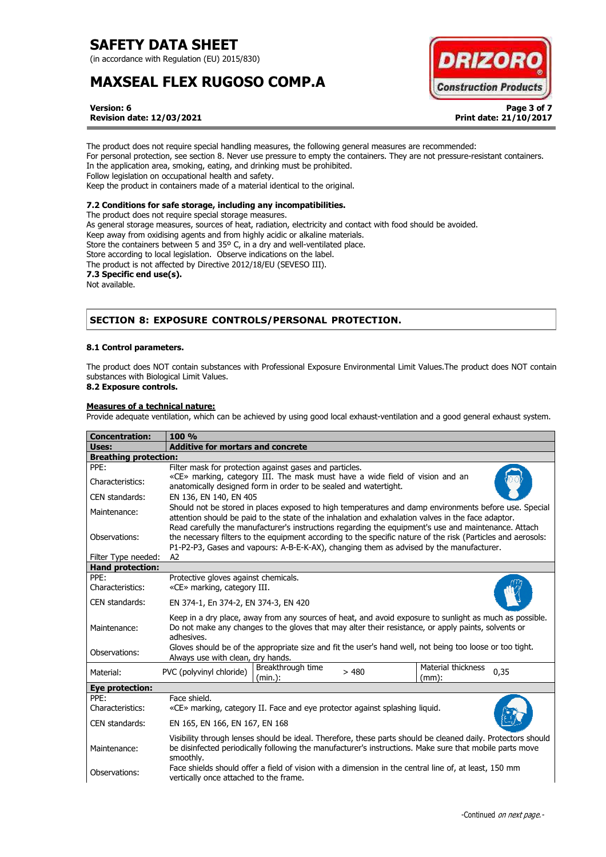(in accordance with Regulation (EU) 2015/830)

# **MAXSEAL FLEX RUGOSO COMP.A**



**Version: 6 Page 3 of 7 Revision date: 12/03/2021 Print date: 21/10/2017**

The product does not require special handling measures, the following general measures are recommended: For personal protection, see section 8. Never use pressure to empty the containers. They are not pressure-resistant containers. In the application area, smoking, eating, and drinking must be prohibited. Follow legislation on occupational health and safety. Keep the product in containers made of a material identical to the original.

## **7.2 Conditions for safe storage, including any incompatibilities.**

The product does not require special storage measures. As general storage measures, sources of heat, radiation, electricity and contact with food should be avoided. Keep away from oxidising agents and from highly acidic or alkaline materials. Store the containers between 5 and 35° C, in a dry and well-ventilated place. Store according to local legislation. Observe indications on the label. The product is not affected by Directive 2012/18/EU (SEVESO III). **7.3 Specific end use(s).** Not available.

# **SECTION 8: EXPOSURE CONTROLS/PERSONAL PROTECTION.**

## **8.1 Control parameters.**

The product does NOT contain substances with Professional Exposure Environmental Limit Values.The product does NOT contain substances with Biological Limit Values.

# **8.2 Exposure controls.**

## **Measures of a technical nature:**

Provide adequate ventilation, which can be achieved by using good local exhaust-ventilation and a good general exhaust system.

| <b>Concentration:</b>                          | 100 %                                                                                                                                                                                                                                                                                                               |  |
|------------------------------------------------|---------------------------------------------------------------------------------------------------------------------------------------------------------------------------------------------------------------------------------------------------------------------------------------------------------------------|--|
| Uses:                                          | <b>Additive for mortars and concrete</b>                                                                                                                                                                                                                                                                            |  |
| <b>Breathing protection:</b>                   |                                                                                                                                                                                                                                                                                                                     |  |
| PPE:                                           | Filter mask for protection against gases and particles.                                                                                                                                                                                                                                                             |  |
| Characteristics:                               | «CE» marking, category III. The mask must have a wide field of vision and an<br>anatomically designed form in order to be sealed and watertight.                                                                                                                                                                    |  |
| CEN standards:                                 | EN 136, EN 140, EN 405                                                                                                                                                                                                                                                                                              |  |
| Maintenance:                                   | Should not be stored in places exposed to high temperatures and damp environments before use. Special<br>attention should be paid to the state of the inhalation and exhalation valves in the face adaptor.<br>Read carefully the manufacturer's instructions regarding the equipment's use and maintenance. Attach |  |
| Observations:                                  | the necessary filters to the equipment according to the specific nature of the risk (Particles and aerosols:<br>P1-P2-P3, Gases and vapours: A-B-E-K-AX), changing them as advised by the manufacturer.                                                                                                             |  |
| Filter Type needed:<br><b>Hand protection:</b> | A2                                                                                                                                                                                                                                                                                                                  |  |
| PPE:                                           | Protective gloves against chemicals.                                                                                                                                                                                                                                                                                |  |
| Characteristics:                               | «CE» marking, category III.                                                                                                                                                                                                                                                                                         |  |
| CEN standards:                                 | EN 374-1, En 374-2, EN 374-3, EN 420                                                                                                                                                                                                                                                                                |  |
| Maintenance:                                   | Keep in a dry place, away from any sources of heat, and avoid exposure to sunlight as much as possible.<br>Do not make any changes to the gloves that may alter their resistance, or apply paints, solvents or<br>adhesives.                                                                                        |  |
| Observations:                                  | Gloves should be of the appropriate size and fit the user's hand well, not being too loose or too tight.<br>Always use with clean, dry hands.                                                                                                                                                                       |  |
| Material:                                      | Material thickness<br>Breakthrough time<br>PVC (polyvinyl chloride)<br>0,35<br>>480<br>(min.):<br>$(mm)$ :                                                                                                                                                                                                          |  |
| Eye protection:                                |                                                                                                                                                                                                                                                                                                                     |  |
| PPF:<br>Characteristics:                       | Face shield.<br>«CE» marking, category II. Face and eye protector against splashing liquid.                                                                                                                                                                                                                         |  |
| CEN standards:                                 | EN 165, EN 166, EN 167, EN 168                                                                                                                                                                                                                                                                                      |  |
| Maintenance:                                   | Visibility through lenses should be ideal. Therefore, these parts should be cleaned daily. Protectors should<br>be disinfected periodically following the manufacturer's instructions. Make sure that mobile parts move<br>smoothly.                                                                                |  |
| Observations:                                  | Face shields should offer a field of vision with a dimension in the central line of, at least, 150 mm<br>vertically once attached to the frame.                                                                                                                                                                     |  |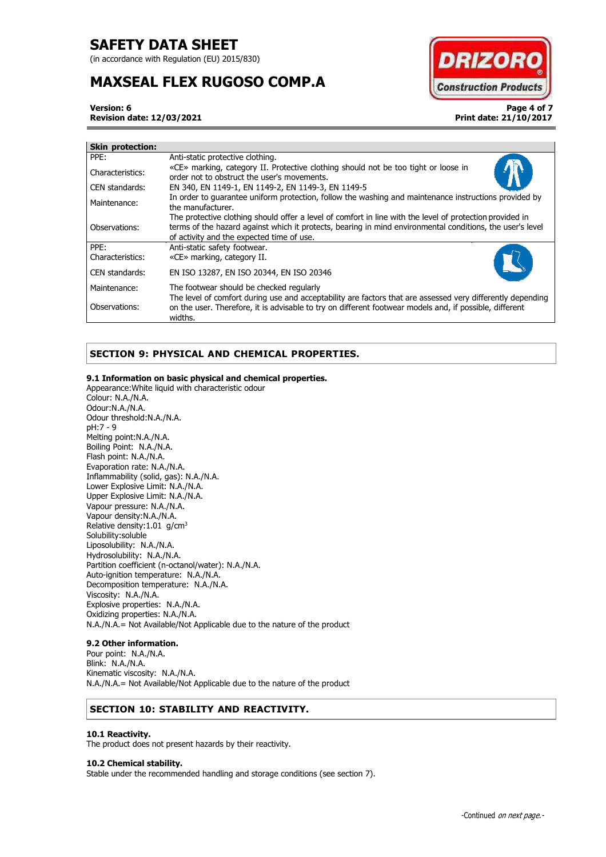(in accordance with Regulation (EU) 2015/830)

# **MAXSEAL FLEX RUGOSO COMP.A**



**Version: 6 Page 4 of 7 Revision date: 12/03/2021 Print date: 21/10/2017**

|  | PPE:             | Anti-static protective clothing.                                                                                                                                                                                                                                   |
|--|------------------|--------------------------------------------------------------------------------------------------------------------------------------------------------------------------------------------------------------------------------------------------------------------|
|  | Characteristics: | «CE» marking, category II. Protective clothing should not be too tight or loose in<br>order not to obstruct the user's movements.                                                                                                                                  |
|  | CEN standards:   | EN 340, EN 1149-1, EN 1149-2, EN 1149-3, EN 1149-5                                                                                                                                                                                                                 |
|  | Maintenance:     | In order to guarantee uniform protection, follow the washing and maintenance instructions provided by<br>the manufacturer.                                                                                                                                         |
|  | Observations:    | The protective clothing should offer a level of comfort in line with the level of protection provided in<br>terms of the hazard against which it protects, bearing in mind environmental conditions, the user's level<br>of activity and the expected time of use. |
|  | PPE:             | Anti-static safety footwear.                                                                                                                                                                                                                                       |
|  | Characteristics: | «CE» marking, category II.                                                                                                                                                                                                                                         |
|  | CEN standards:   | EN ISO 13287, EN ISO 20344, EN ISO 20346                                                                                                                                                                                                                           |
|  | Maintenance:     | The footwear should be checked regularly                                                                                                                                                                                                                           |
|  | Observations:    | The level of comfort during use and acceptability are factors that are assessed very differently depending<br>on the user. Therefore, it is advisable to try on different footwear models and, if possible, different<br>widths.                                   |

# **SECTION 9: PHYSICAL AND CHEMICAL PROPERTIES.**

## **9.1 Information on basic physical and chemical properties.**

Appearance:White liquid with characteristic odour Colour: N.A./N.A. Odour:N.A./N.A. Odour threshold:N.A./N.A. pH:7 - 9 Melting point:N.A./N.A. Boiling Point: N.A./N.A. Flash point: N.A./N.A. Evaporation rate: N.A./N.A. Inflammability (solid, gas): N.A./N.A. Lower Explosive Limit: N.A./N.A. Upper Explosive Limit: N.A./N.A. Vapour pressure: N.A./N.A. Vapour density:N.A./N.A. Relative density:1.01 g/cm<sup>3</sup> Solubility:soluble Liposolubility: N.A./N.A. Hydrosolubility: N.A./N.A. Partition coefficient (n-octanol/water): N.A./N.A. Auto-ignition temperature: N.A./N.A. Decomposition temperature: N.A./N.A. Viscosity: N.A./N.A. Explosive properties: N.A./N.A. Oxidizing properties: N.A./N.A. N.A./N.A.= Not Available/Not Applicable due to the nature of the product

## **9.2 Other information.**

Pour point: N.A./N.A. Blink: N.A./N.A. Kinematic viscosity: N.A./N.A. N.A./N.A.= Not Available/Not Applicable due to the nature of the product

# **SECTION 10: STABILITY AND REACTIVITY.**

### **10.1 Reactivity.**

The product does not present hazards by their reactivity.

### **10.2 Chemical stability.**

Stable under the recommended handling and storage conditions (see section 7).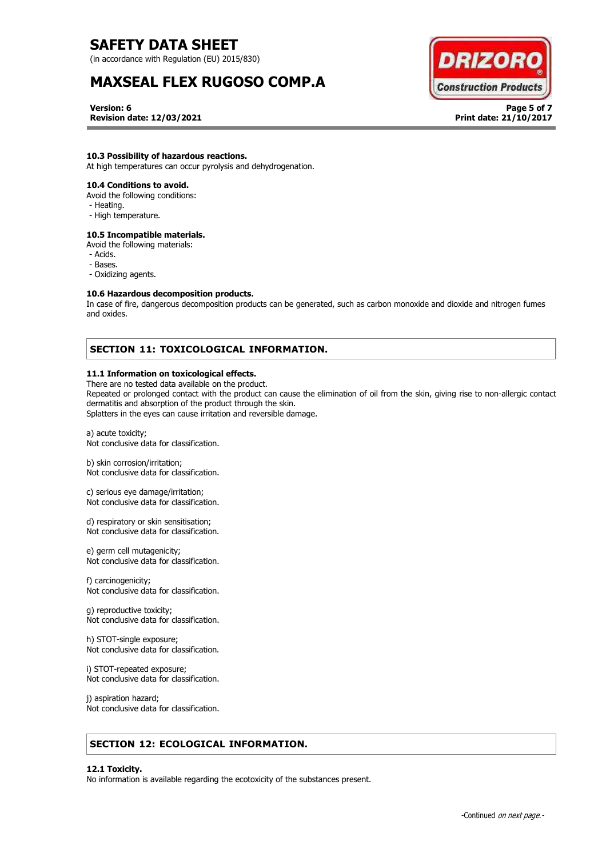(in accordance with Regulation (EU) 2015/830)

# **MAXSEAL FLEX RUGOSO COMP.A**



**Version: 6 Page 5 of 7 Revision date: 12/03/2021 Print date: 21/10/2017**

## **10.3 Possibility of hazardous reactions.**

At high temperatures can occur pyrolysis and dehydrogenation.

## **10.4 Conditions to avoid.**

Avoid the following conditions:

- Heating.
- High temperature.

# **10.5 Incompatible materials.**

Avoid the following materials:

- Acids.
- Bases.
- Oxidizing agents.

## **10.6 Hazardous decomposition products.**

In case of fire, dangerous decomposition products can be generated, such as carbon monoxide and dioxide and nitrogen fumes and oxides.

# **SECTION 11: TOXICOLOGICAL INFORMATION.**

## **11.1 Information on toxicological effects.**

There are no tested data available on the product.

Repeated or prolonged contact with the product can cause the elimination of oil from the skin, giving rise to non-allergic contact dermatitis and absorption of the product through the skin.

Splatters in the eyes can cause irritation and reversible damage.

a) acute toxicity; Not conclusive data for classification.

b) skin corrosion/irritation; Not conclusive data for classification.

c) serious eye damage/irritation; Not conclusive data for classification.

d) respiratory or skin sensitisation; Not conclusive data for classification.

e) germ cell mutagenicity; Not conclusive data for classification.

f) carcinogenicity; Not conclusive data for classification.

g) reproductive toxicity; Not conclusive data for classification.

h) STOT-single exposure; Not conclusive data for classification.

i) STOT-repeated exposure; Not conclusive data for classification.

j) aspiration hazard; Not conclusive data for classification.

# **SECTION 12: ECOLOGICAL INFORMATION.**

### **12.1 Toxicity.**

No information is available regarding the ecotoxicity of the substances present.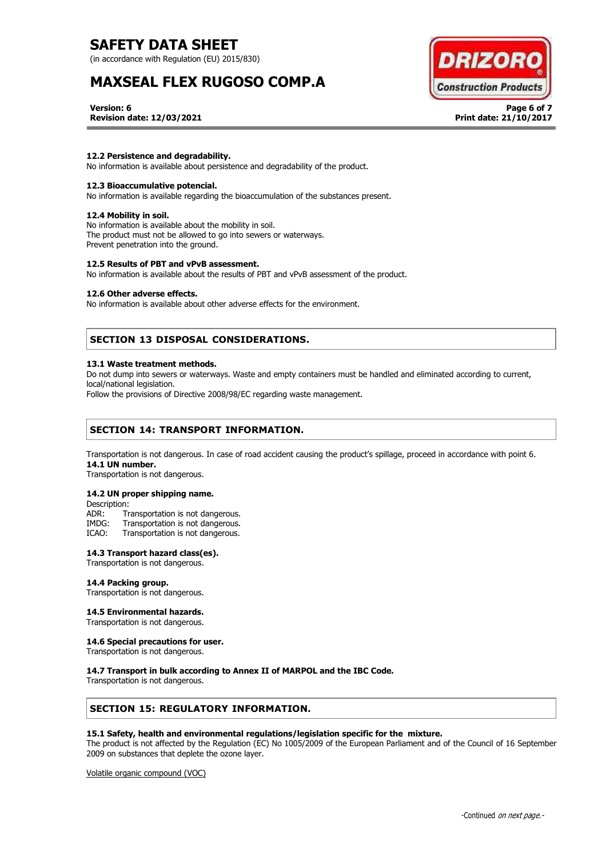(in accordance with Regulation (EU) 2015/830)

# **MAXSEAL FLEX RUGOSO COMP.A**



**Version: 6 Page 6 of 7 Revision date: 12/03/2021 Print date: 21/10/2017**

## **12.2 Persistence and degradability.**

No information is available about persistence and degradability of the product.

### **12.3 Bioaccumulative potencial.**

No information is available regarding the bioaccumulation of the substances present.

#### **12.4 Mobility in soil.**

No information is available about the mobility in soil. The product must not be allowed to go into sewers or waterways. Prevent penetration into the ground.

#### **12.5 Results of PBT and vPvB assessment.**

No information is available about the results of PBT and vPvB assessment of the product.

## **12.6 Other adverse effects.**

No information is available about other adverse effects for the environment.

# **SECTION 13 DISPOSAL CONSIDERATIONS.**

#### **13.1 Waste treatment methods.**

Do not dump into sewers or waterways. Waste and empty containers must be handled and eliminated according to current, local/national legislation.

Follow the provisions of Directive 2008/98/EC regarding waste management.

# **SECTION 14: TRANSPORT INFORMATION.**

Transportation is not dangerous. In case of road accident causing the product's spillage, proceed in accordance with point 6. **14.1 UN number.**

Transportation is not dangerous.

### **14.2 UN proper shipping name.**

Description:

ADR: Transportation is not dangerous.<br>IMDG: Transportation is not dangerous.

Transportation is not dangerous.

ICAO: Transportation is not dangerous.

## **14.3 Transport hazard class(es).**

Transportation is not dangerous.

## **14.4 Packing group.**

Transportation is not dangerous.

### **14.5 Environmental hazards.**

Transportation is not dangerous.

### **14.6 Special precautions for user.**

Transportation is not dangerous.

### **14.7 Transport in bulk according to Annex II of MARPOL and the IBC Code.**

Transportation is not dangerous.

## **SECTION 15: REGULATORY INFORMATION.**

### **15.1 Safety, health and environmental regulations/legislation specific for the mixture.**

The product is not affected by the Regulation (EC) No 1005/2009 of the European Parliament and of the Council of 16 September 2009 on substances that deplete the ozone layer.

Volatile organic compound (VOC)